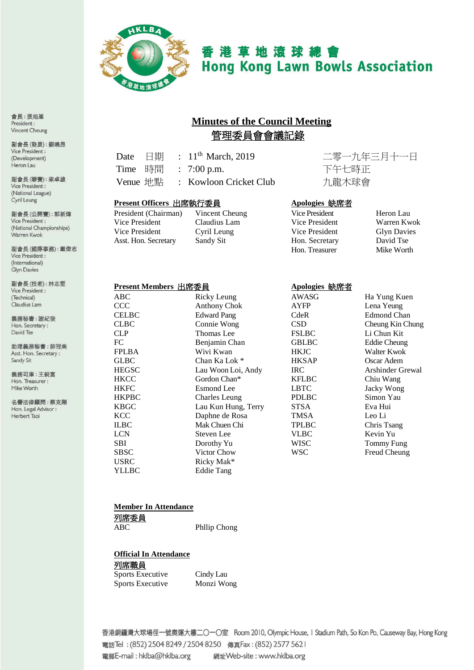

# 香港草地滾球總會 **Hong Kong Lawn Bowls Association**

## **Minutes of the Council Meeting** 管理委員會會議記錄

| Date $\quad \Box$ 期 |  | : $11^{th}$ March, 2019 |
|---------------------|--|-------------------------|
|                     |  | Time 時間 : 7:00 p.m.     |
| Venue 地點            |  | : Kowloon Cricket Clu   |

Claudius Lam

二零一九年三月十一日 下午七時正 rb : カ龍木球會

#### **Present Officers** 出席執行委員 **Apologies** 缺席者

President (Chairman) Vincent Cheung<br>Vice President Claudius Lam Vice President Cyril Leung Asst. Hon. Secretary Sandy Sit

| Vice President | Heron Lau          |
|----------------|--------------------|
| Vice President | Warren Kwok        |
| Vice President | <b>Glyn Davies</b> |
| Hon. Secretary | David Tse          |
| Hon. Treasurer | Mike Worth         |
|                |                    |

#### **Present Members** 出席委員 **Apologies** 缺席者

| .<br>----- |                      |
|------------|----------------------|
| ABC        | Ricky Leung          |
| CCC        | <b>Anthony Chok</b>  |
| CELBC      | <b>Edward Pang</b>   |
| CLBC       | Connie Wong          |
| CLP        | Thomas Lee           |
| FC         | Benjamin Chan        |
| FPLBA      | Wivi Kwan            |
| GLBC       | Chan Ka Lok *        |
| HEGSC      | Lau Woon Loi, Andy   |
| HKCC       | Gordon Chan*         |
| HKFC       | <b>Esmond</b> Lee    |
| HKPBC      | <b>Charles Leung</b> |
| KBGC       | Lau Kun Hung, Terry  |
| KCC        | Daphne de Rosa       |
| ILBC       | Mak Chuen Chi        |
| LCN        | Steven Lee           |
| SBI        | Dorothy Yu           |
| SBSC       | Victor Chow          |
| USRC       | Ricky Mak*           |
| YLLBC      | <b>Eddie Tang</b>    |
|            |                      |

| ABC          | Ricky Leung         | AWASG        | Ha Yung Kuen       |
|--------------|---------------------|--------------|--------------------|
| ccc          | <b>Anthony Chok</b> | AYFP         | Lena Yeung         |
| <b>CELBC</b> | <b>Edward Pang</b>  | CdeR         | <b>Edmond Chan</b> |
| <b>CLBC</b>  | Connie Wong         | <b>CSD</b>   | Cheung Kin Chung   |
| CLP          | Thomas Lee          | <b>FSLBC</b> | Li Chun Kit        |
| FC           | Benjamin Chan       | <b>GBLBC</b> | Eddie Cheung       |
| FPLBA        | Wivi Kwan           | <b>HKJC</b>  | Walter Kwok        |
| GLBC         | Chan Ka Lok *       | <b>HKSAP</b> | Oscar Adem         |
| HEGSC        | Lau Woon Loi, Andy  | IRC.         | Arshinder Grewal   |
| HKCC         | Gordon Chan*        | <b>KFLBC</b> | Chiu Wang          |
| HKFC         | Esmond Lee          | <b>LBTC</b>  | Jacky Wong         |
| HKPBC        | Charles Leung       | <b>PDLBC</b> | Simon Yau          |
| <b>KBGC</b>  | Lau Kun Hung, Terry | <b>STSA</b>  | Eva Hui            |
| KCC          | Daphne de Rosa      | TMSA         | Leo Li             |
| ILBC         | Mak Chuen Chi       | <b>TPLBC</b> | Chris Tsang        |
| LCN          | Steven Lee          | <b>VLBC</b>  | Kevin Yu           |
| SBI          | Dorothy Yu          | WISC         | Tommy Fung         |
| SBSC         | Victor Chow         | WSC          | Freud Cheung       |
| USRC         | Ricky Mak*          |              |                    |
| YLL RC       | Eddie Tano          |              |                    |

#### **Member In Attendance**

列席委員

ABC Phllip Chong

**Official In Attendance**

#### 列席職員

| <b>Sports Executive</b> | Cindy Lau  |
|-------------------------|------------|
| <b>Sports Executive</b> | Monzi Wong |

香港銅鑼灣大球場徑一號奧運大樓二〇一〇室 Room 2010, Olympic House, I Stadium Path, So Kon Po, Causeway Bay, Hong Kong 電話Tel: (852) 2504 8249 / 2504 8250 傳真Fax: (852) 2577 5621 電郵E-mail: hklba@hklba.org 網址Web-site: www.hklba.org

會長:張旭峯 President: Vincent Cheung

副會長(發展):劉曉昂 Vice President: (Development) Heron Lau

副會長(聯賽):梁卓雄 Vice President: (National League) Cyril Leung

副會長(公開賽): 郭新煒 Vice President: (National Championships) Warren Kwok

副會長(國際事務):戴偉志 Vice President: (International) Glyn Davies

副會長(技術):林志堅 Vice President : (Technical) Claudius Lam

義務秘書:謝紀發 Hon. Secretary: David Tse

助理義務秘書:薛冠美 Asst. Hon. Secretary: Sandy Sit

義務司庫:王鋭富 Hon. Treasurer : Mike Worth

名譽法律顧問:蔡克剛 Hon. Legal Advisor : Herbert Tsoi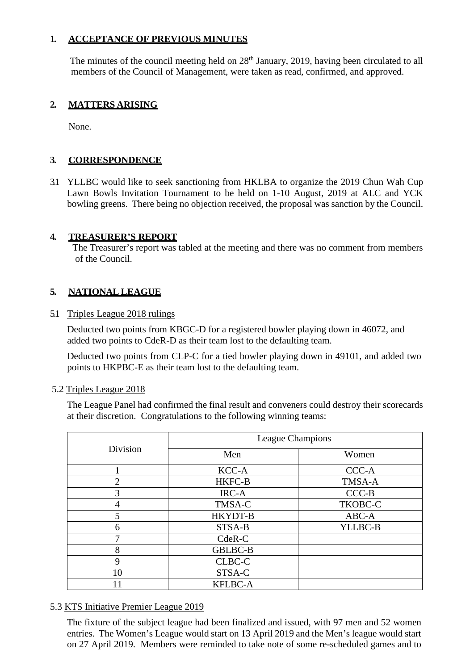#### **1. ACCEPTANCE OF PREVIOUS MINUTES**

The minutes of the council meeting held on  $28<sup>th</sup>$  January, 2019, having been circulated to all members of the Council of Management, were taken as read, confirmed, and approved.

#### **2. MATTERS ARISING**

None.

#### **3. CORRESPONDENCE**

3.1 YLLBC would like to seek sanctioning from HKLBA to organize the 2019 Chun Wah Cup Lawn Bowls Invitation Tournament to be held on 1-10 August, 2019 at ALC and YCK bowling greens. There being no objection received, the proposal was sanction by the Council.

#### **4. TREASURER'S REPORT**

The Treasurer's report was tabled at the meeting and there was no comment from members of the Council.

#### **5. NATIONAL LEAGUE**

5.1 Triples League 2018 rulings

Deducted two points from KBGC-D for a registered bowler playing down in 46072, and added two points to CdeR-D as their team lost to the defaulting team.

Deducted two points from CLP-C for a tied bowler playing down in 49101, and added two points to HKPBC-E as their team lost to the defaulting team.

#### 5.2 Triples League 2018

The League Panel had confirmed the final result and conveners could destroy their scorecards at their discretion. Congratulations to the following winning teams:

| Division       | League Champions |         |  |
|----------------|------------------|---------|--|
|                | Men              | Women   |  |
|                | KCC-A            | CCC-A   |  |
| $\overline{2}$ | <b>HKFC-B</b>    | TMSA-A  |  |
| 3              | IRC-A            | $CCC-B$ |  |
| 4              | TMSA-C           | TKOBC-C |  |
|                | HKYDT-B          | ABC-A   |  |
| 6              | STSA-B           | YLLBC-B |  |
| 7              | CdeR-C           |         |  |
| 8              | <b>GBLBC-B</b>   |         |  |
| 9              | CLBC-C           |         |  |
| 10             | STSA-C           |         |  |
|                | <b>KFLBC-A</b>   |         |  |

#### 5.3 KTS Initiative Premier League 2019

The fixture of the subject league had been finalized and issued, with 97 men and 52 women entries. The Women's League would start on 13 April 2019 and the Men's league would start on 27 April 2019. Members were reminded to take note of some re-scheduled games and to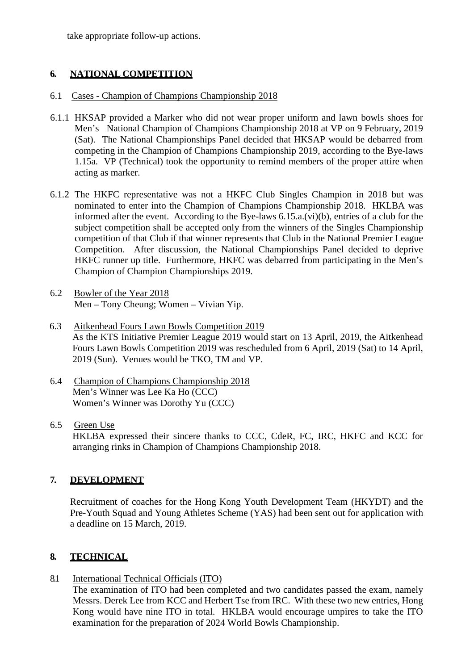take appropriate follow-up actions.

#### **6. NATIONAL COMPETITION**

#### 6.1 Cases - Champion of Champions Championship 2018

- 6.1.1 HKSAP provided a Marker who did not wear proper uniform and lawn bowls shoes for Men's National Champion of Champions Championship 2018 at VP on 9 February, 2019 (Sat). The National Championships Panel decided that HKSAP would be debarred from competing in the Champion of Champions Championship 2019, according to the Bye-laws 1.15a. VP (Technical) took the opportunity to remind members of the proper attire when acting as marker.
- 6.1.2 The HKFC representative was not a HKFC Club Singles Champion in 2018 but was nominated to enter into the Champion of Champions Championship 2018. HKLBA was informed after the event. According to the Bye-laws 6.15.a.(vi)(b), entries of a club for the subject competition shall be accepted only from the winners of the Singles Championship competition of that Club if that winner represents that Club in the National Premier League Competition. After discussion, the National Championships Panel decided to deprive HKFC runner up title. Furthermore, HKFC was debarred from participating in the Men's Champion of Champion Championships 2019.
- 6.2 Bowler of the Year 2018 Men – Tony Cheung; Women – Vivian Yip.
- 6.3 Aitkenhead Fours Lawn Bowls Competition 2019 As the KTS Initiative Premier League 2019 would start on 13 April, 2019, the Aitkenhead Fours Lawn Bowls Competition 2019 was rescheduled from 6 April, 2019 (Sat) to 14 April, 2019 (Sun). Venues would be TKO, TM and VP.
- 6.4 Champion of Champions Championship 2018 Men's Winner was Lee Ka Ho (CCC) Women's Winner was Dorothy Yu (CCC)
- 6.5 Green Use HKLBA expressed their sincere thanks to CCC, CdeR, FC, IRC, HKFC and KCC for arranging rinks in Champion of Champions Championship 2018.

### **7. DEVELOPMENT**

Recruitment of coaches for the Hong Kong Youth Development Team (HKYDT) and the Pre-Youth Squad and Young Athletes Scheme (YAS) had been sent out for application with a deadline on 15 March, 2019.

### **8. TECHNICAL**

#### 8.1 International Technical Officials (ITO)

The examination of ITO had been completed and two candidates passed the exam, namely Messrs. Derek Lee from KCC and Herbert Tse from IRC. With these two new entries, Hong Kong would have nine ITO in total. HKLBA would encourage umpires to take the ITO examination for the preparation of 2024 World Bowls Championship.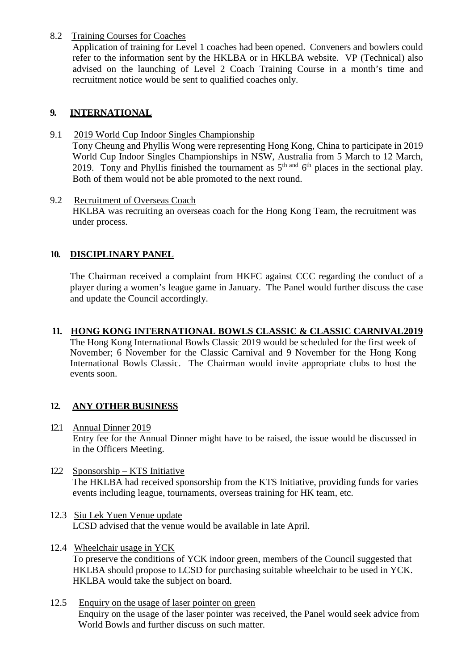#### 8.2 Training Courses for Coaches

Application of training for Level 1 coaches had been opened. Conveners and bowlers could refer to the information sent by the HKLBA or in HKLBA website. VP (Technical) also advised on the launching of Level 2 Coach Training Course in a month's time and recruitment notice would be sent to qualified coaches only.

#### **9. INTERNATIONAL**

- 9.1 2019 World Cup Indoor Singles Championship Tony Cheung and Phyllis Wong were representing Hong Kong, China to participate in 2019 World Cup Indoor Singles Championships in NSW, Australia from 5 March to 12 March, 2019. Tony and Phyllis finished the tournament as  $5<sup>th</sup>$  and  $6<sup>th</sup>$  places in the sectional play. Both of them would not be able promoted to the next round.
- 9.2 Recruitment of Overseas Coach HKLBA was recruiting an overseas coach for the Hong Kong Team, the recruitment was under process.

#### **10. DISCIPLINARY PANEL**

The Chairman received a complaint from HKFC against CCC regarding the conduct of a player during a women's league game in January. The Panel would further discuss the case and update the Council accordingly.

#### **11. HONG KONG INTERNATIONAL BOWLS CLASSIC & CLASSIC CARNIVAL2019**

The Hong Kong International Bowls Classic 2019 would be scheduled for the first week of November; 6 November for the Classic Carnival and 9 November for the Hong Kong International Bowls Classic. The Chairman would invite appropriate clubs to host the events soon.

#### **12. ANY OTHER BUSINESS**

- 12.1 Annual Dinner 2019 Entry fee for the Annual Dinner might have to be raised, the issue would be discussed in in the Officers Meeting.
- 12.2 Sponsorship KTS Initiative The HKLBA had received sponsorship from the KTS Initiative, providing funds for varies events including league, tournaments, overseas training for HK team, etc.
- 12.3 Siu Lek Yuen Venue update LCSD advised that the venue would be available in late April.
- 12.4 Wheelchair usage in YCK To preserve the conditions of YCK indoor green, members of the Council suggested that HKLBA should propose to LCSD for purchasing suitable wheelchair to be used in YCK. HKLBA would take the subject on board.
- 12.5 Enquiry on the usage of laser pointer on green Enquiry on the usage of the laser pointer was received, the Panel would seek advice from World Bowls and further discuss on such matter.